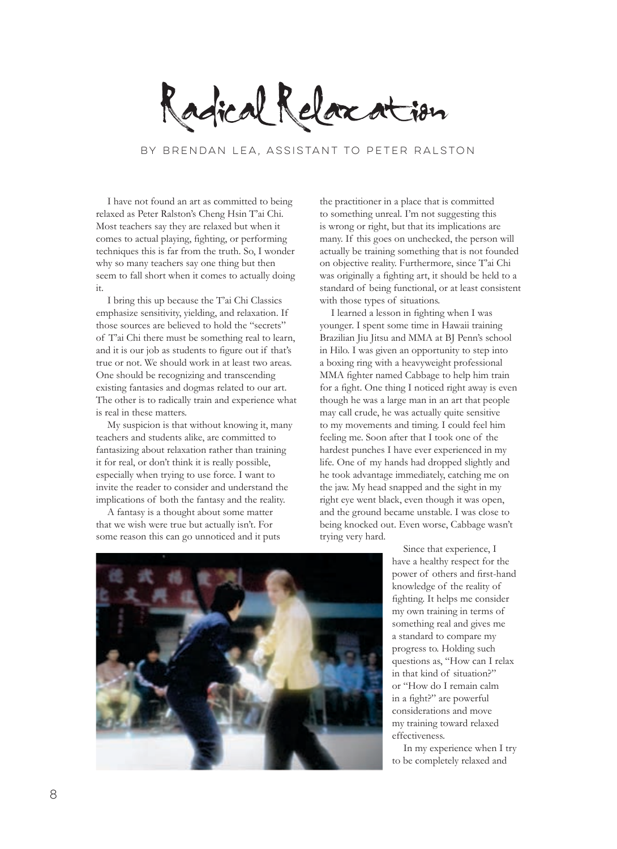Radical Relaxation

by Brendan Lea, assistant to Peter Ralston

I have not found an art as committed to being relaxed as Peter Ralston's Cheng Hsin T'ai Chi. Most teachers say they are relaxed but when it comes to actual playing, fighting, or performing techniques this is far from the truth. So, I wonder why so many teachers say one thing but then seem to fall short when it comes to actually doing it.

I bring this up because the T'ai Chi Classics emphasize sensitivity, yielding, and relaxation. If those sources are believed to hold the "secrets" of T'ai Chi there must be something real to learn, and it is our job as students to figure out if that's true or not. We should work in at least two areas. One should be recognizing and transcending existing fantasies and dogmas related to our art. The other is to radically train and experience what is real in these matters.

My suspicion is that without knowing it, many teachers and students alike, are committed to fantasizing about relaxation rather than training it for real, or don't think it is really possible, especially when trying to use force. I want to invite the reader to consider and understand the implications of both the fantasy and the reality.

A fantasy is a thought about some matter that we wish were true but actually isn't. For some reason this can go unnoticed and it puts the practitioner in a place that is committed to something unreal. I'm not suggesting this is wrong or right, but that its implications are many. If this goes on unchecked, the person will actually be training something that is not founded on objective reality. Furthermore, since T'ai Chi was originally a fighting art, it should be held to a standard of being functional, or at least consistent with those types of situations.

I learned a lesson in fighting when I was younger. I spent some time in Hawaii training Brazilian Jiu Jitsu and MMA at BJ Penn's school in Hilo. I was given an opportunity to step into a boxing ring with a heavyweight professional MMA fighter named Cabbage to help him train for a fight. One thing I noticed right away is even though he was a large man in an art that people may call crude, he was actually quite sensitive to my movements and timing. I could feel him feeling me. Soon after that I took one of the hardest punches I have ever experienced in my life. One of my hands had dropped slightly and he took advantage immediately, catching me on the jaw. My head snapped and the sight in my right eye went black, even though it was open, and the ground became unstable. I was close to being knocked out. Even worse, Cabbage wasn't trying very hard.

> Since that experience, I have a healthy respect for the power of others and first-hand knowledge of the reality of fighting. It helps me consider my own training in terms of something real and gives me a standard to compare my progress to. Holding such questions as, "How can I relax in that kind of situation?" or "How do I remain calm in a fight?" are powerful considerations and move my training toward relaxed effectiveness.

In my experience when I try to be completely relaxed and

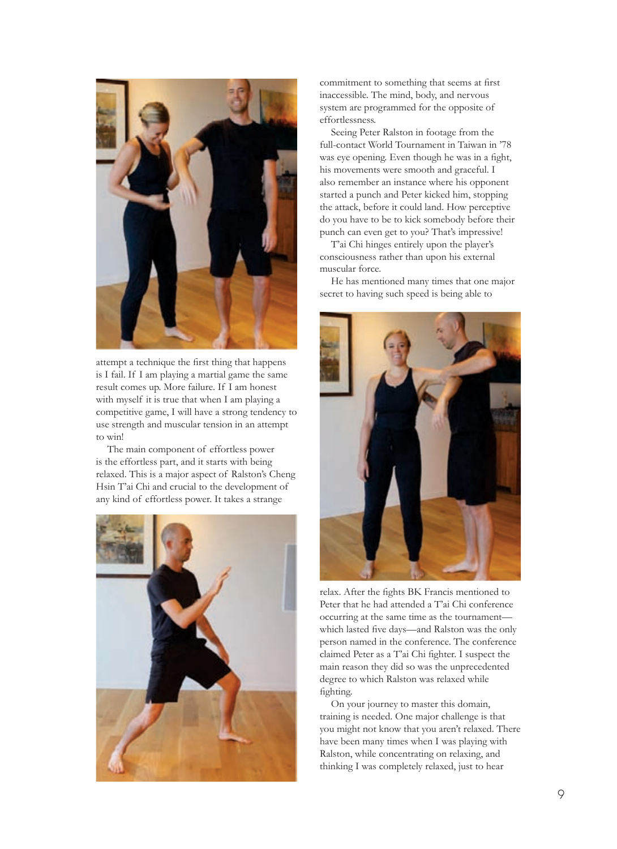

attempt a technique the first thing that happens is I fail. If I am playing a martial game the same result comes up. More failure. If I am honest with myself it is true that when I am playing a competitive game, I will have a strong tendency to use strength and muscular tension in an attempt to win!

The main component of effortless power is the effortless part, and it starts with being relaxed. This is a major aspect of Ralston's Cheng Hsin T'ai Chi and crucial to the development of any kind of effortless power. It takes a strange



commitment to something that seems at first inaccessible. The mind, body, and nervous system are programmed for the opposite of effortlessness.

Seeing Peter Ralston in footage from the full-contact World Tournament in Taiwan in '78 was eye opening. Even though he was in a fight, his movements were smooth and graceful. I also remember an instance where his opponent started a punch and Peter kicked him, stopping the attack, before it could land. How perceptive do you have to be to kick somebody before their punch can even get to you? That's impressive!

T'ai Chi hinges entirely upon the player's consciousness rather than upon his external muscular force.

He has mentioned many times that one major secret to having such speed is being able to



relax. After the fights BK Francis mentioned to Peter that he had attended a T'ai Chi conference occurring at the same time as the tournament which lasted five days—and Ralston was the only person named in the conference. The conference claimed Peter as a T'ai Chi fighter. I suspect the main reason they did so was the unprecedented degree to which Ralston was relaxed while fighting.

On your journey to master this domain, training is needed. One major challenge is that you might not know that you aren't relaxed. There have been many times when I was playing with Ralston, while concentrating on relaxing, and thinking I was completely relaxed, just to hear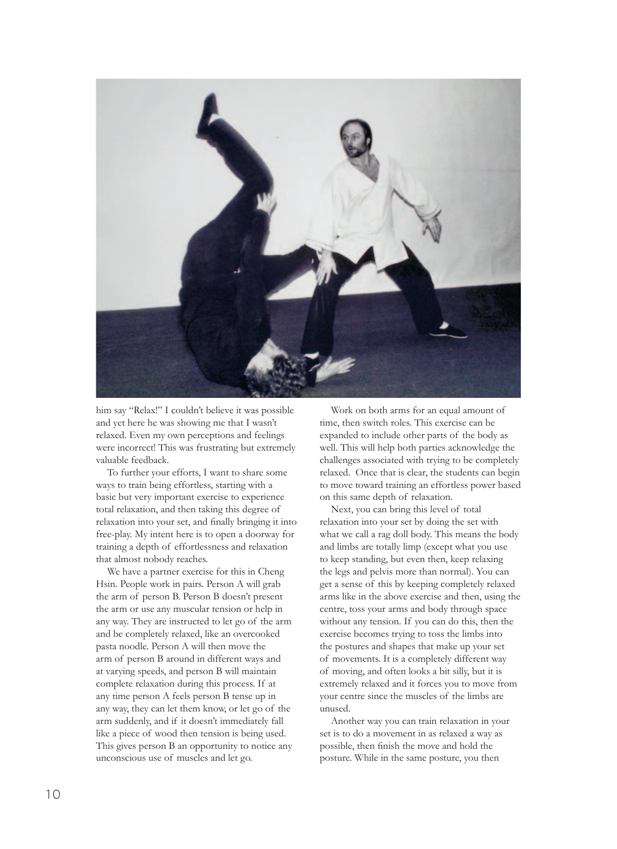

him say "Relax!" I couldn't believe it was possible and yet here he was showing me that I wasn't relaxed. Even my own perceptions and feelings were incorrect! This was frustrating but extremely valuable feedback.

To further your efforts, I want to share some ways to train being effortless, starting with a basic but very important exercise to experience total relaxation, and then taking this degree of relaxation into your set, and finally bringing it into free-play. My intent here is to open a doorway for training a depth of effortlessness and relaxation that almost nobody reaches.

We have a partner exercise for this in Cheng Hsin. People work in pairs. Person A will grab the arm of person B. Person B doesn't present the arm or use any muscular tension or help in any way. They are instructed to let go of the arm and be completely relaxed, like an overcooked pasta noodle. Person A will then move the arm of person B around in different ways and at varying speeds, and person B will maintain complete relaxation during this process. If at any time person A feels person B tense up in any way, they can let them know, or let go of the arm suddenly, and if it doesn't immediately fall like a piece of wood then tension is being used. This gives person B an opportunity to notice any unconscious use of muscles and let go.

Work on both arms for an equal amount of time, then switch roles. This exercise can be expanded to include other parts of the body as well. This will help both parties acknowledge the challenges associated with trying to be completely relaxed. Once that is clear, the students can begin to move toward training an effortless power based on this same depth of relaxation.

Next, you can bring this level of total relaxation into your set by doing the set with what we call a rag doll body. This means the body and limbs are totally limp (except what you use to keep standing, but even then, keep relaxing the legs and pelvis more than normal). You can get a sense of this by keeping completely relaxed arms like in the above exercise and then, using the centre, toss your arms and body through space without any tension. If you can do this, then the exercise becomes trying to toss the limbs into the postures and shapes that make up your set of movements. It is a completely different way of moving, and often looks a bit silly, but it is extremely relaxed and it forces you to move from your centre since the muscles of the limbs are unused.

Another way you can train relaxation in your set is to do a movement in as relaxed a way as possible, then finish the move and hold the posture. While in the same posture, you then